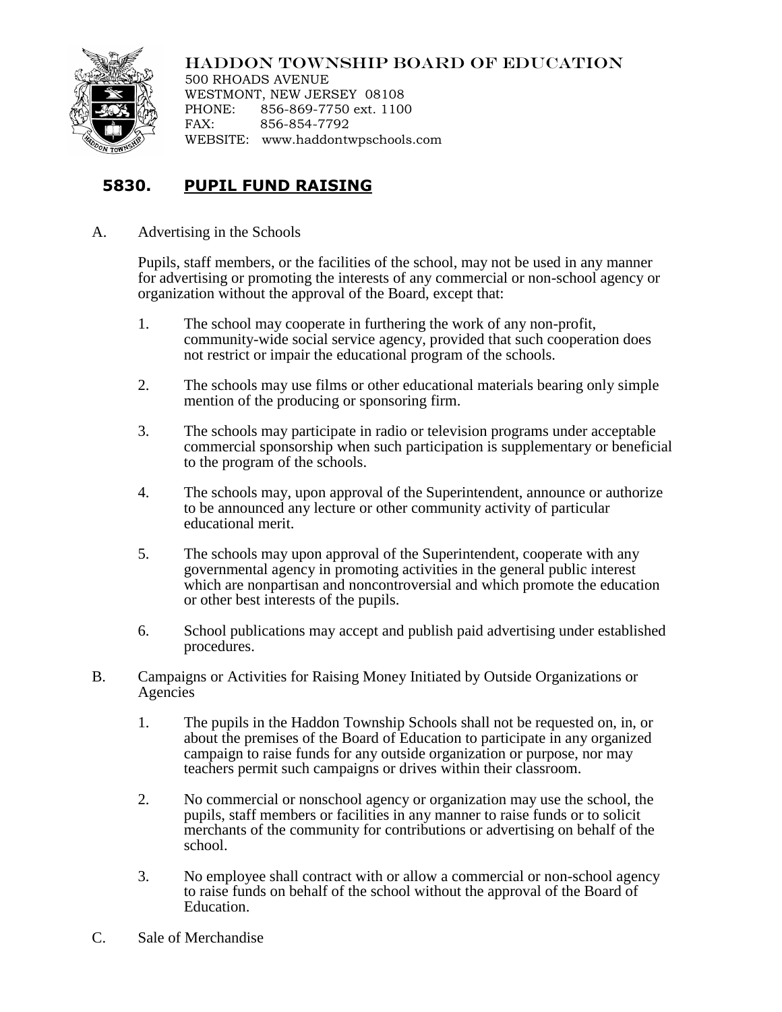

## HADDON TOWNSHIP BOARD OF EDUCATION

500 RHOADS AVENUE WESTMONT, NEW JERSEY 08108 PHONE: 856-869-7750 ext. 1100 FAX: 856-854-7792 WEBSITE: www.haddontwpschools.com

## **5830. PUPIL FUND RAISING**

A. Advertising in the Schools

Pupils, staff members, or the facilities of the school, may not be used in any manner for advertising or promoting the interests of any commercial or non-school agency or organization without the approval of the Board, except that:

- 1. The school may cooperate in furthering the work of any non-profit, community-wide social service agency, provided that such cooperation does not restrict or impair the educational program of the schools.
- 2. The schools may use films or other educational materials bearing only simple mention of the producing or sponsoring firm.
- 3. The schools may participate in radio or television programs under acceptable commercial sponsorship when such participation is supplementary or beneficial to the program of the schools.
- 4. The schools may, upon approval of the Superintendent, announce or authorize to be announced any lecture or other community activity of particular educational merit.
- 5. The schools may upon approval of the Superintendent, cooperate with any governmental agency in promoting activities in the general public interest which are nonpartisan and noncontroversial and which promote the education or other best interests of the pupils.
- 6. School publications may accept and publish paid advertising under established procedures.
- B. Campaigns or Activities for Raising Money Initiated by Outside Organizations or Agencies
	- 1. The pupils in the Haddon Township Schools shall not be requested on, in, or about the premises of the Board of Education to participate in any organized campaign to raise funds for any outside organization or purpose, nor may teachers permit such campaigns or drives within their classroom.
	- 2. No commercial or nonschool agency or organization may use the school, the pupils, staff members or facilities in any manner to raise funds or to solicit merchants of the community for contributions or advertising on behalf of the school.
	- 3. No employee shall contract with or allow a commercial or non-school agency to raise funds on behalf of the school without the approval of the Board of Education.
- C. Sale of Merchandise